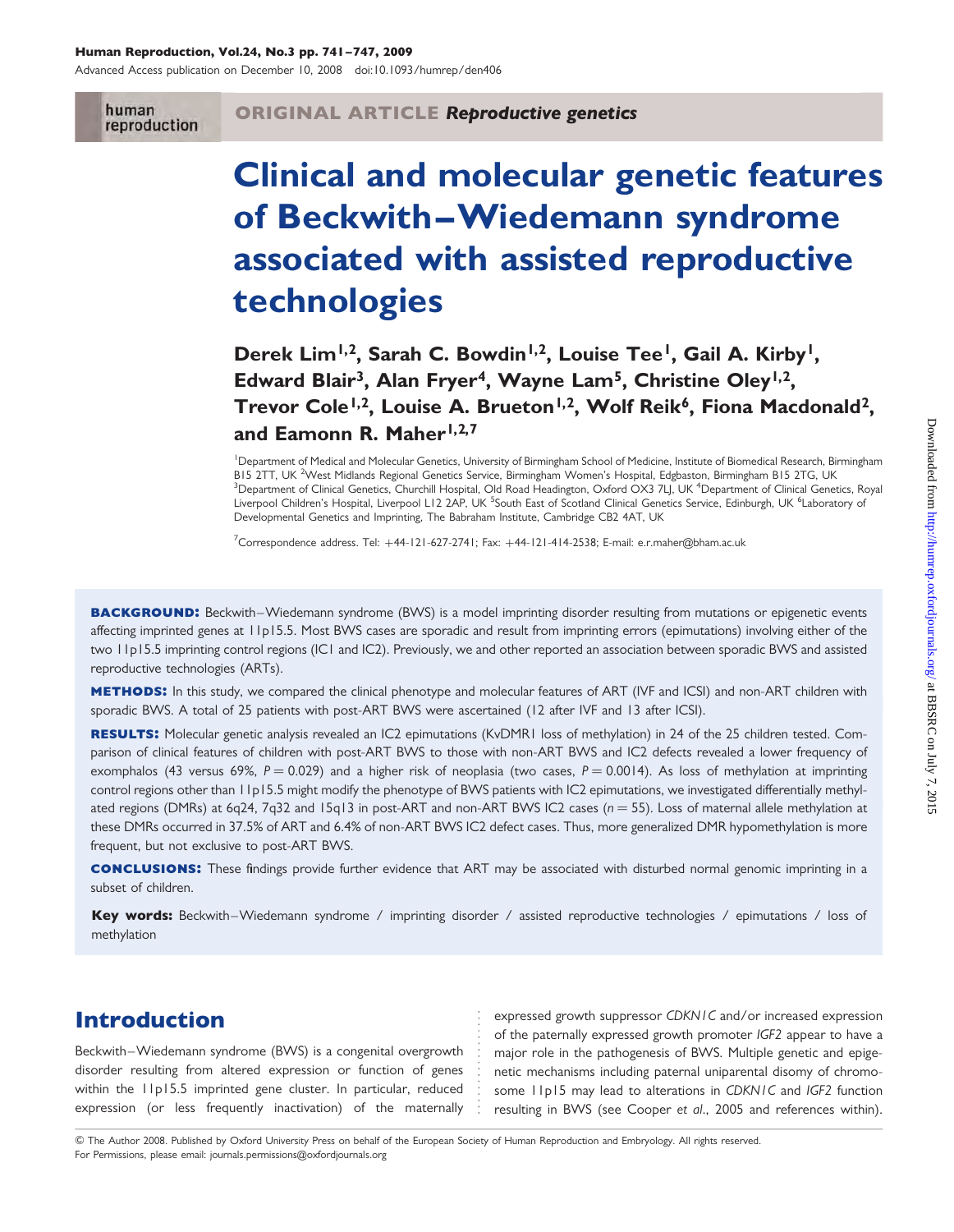#### Human Reproduction, Vol.24, No.3 pp. 741–747, 2009

Advanced Access publication on December 10, 2008 doi:10.1093/humrep/den406

human reproduction

# Clinical and molecular genetic features of Beckwith –Wiedemann syndrome associated with assisted reproductive technologies

Derek Lim<sup>1,2</sup>, Sarah C. Bowdin<sup>1,2</sup>, Louise Tee<sup>1</sup>, Gail A. Kirby<sup>1</sup>, Edward Blair<sup>3</sup>, Alan Fryer<sup>4</sup>, Wayne Lam<sup>5</sup>, Christine Oley<sup>1,2</sup>, Trevor Cole<sup>1,2</sup>, Louise A. Brueton<sup>1,2</sup>, Wolf Reik<sup>6</sup>, Fiona Macdonald<sup>2</sup>, and Eamonn R. Maher<sup>1,2,7</sup>

<sup>1</sup> Department of Medical and Molecular Genetics, University of Birmingham School of Medicine, Institute of Biomedical Research, Birmingham B15 2TT, UK <sup>2</sup>West Midlands Regional Genetics Service, Birmingham Women's Hospital, Edgbaston, Birmingham B15 2TG, UK<br><sup>3</sup>Department of Clinical Genetics, Churchill Hospital, Old Boad Hoadington, Oxford OX3 7LLUK <sup>4</sup>Depart Department of Clinical Genetics, Churchill Hospital, Old Road Headington, Oxford OX3 7LJ, UK <sup>4</sup>Department of Clinical Genetics, Royal Liverpool Children's Hospital, Liverpool L12 2AP, UK <sup>5</sup>South East of Scotland Clinical Genetics Service, Edinburgh, UK <sup>6</sup>Laboratory of Developmental Genetics and Imprinting, The Babraham Institute, Cambridge CB2 4AT, UK

 $^7$ Correspondence address. Tel: +44-121-627-2741; Fax: +44-121-414-2538; E-mail: e.r.maher@bham.ac.uk

BACKGROUND: Beckwith–Wiedemann syndrome (BWS) is a model imprinting disorder resulting from mutations or epigenetic events affecting imprinted genes at 11p15.5. Most BWS cases are sporadic and result from imprinting errors (epimutations) involving either of the two 11p15.5 imprinting control regions (IC1 and IC2). Previously, we and other reported an association between sporadic BWS and assisted reproductive technologies (ARTs).

METHODS: In this study, we compared the clinical phenotype and molecular features of ART (IVF and ICSI) and non-ART children with sporadic BWS. A total of 25 patients with post-ART BWS were ascertained (12 after IVF and 13 after ICSI).

**RESULTS:** Molecular genetic analysis revealed an IC2 epimutations (KvDMR1 loss of methylation) in 24 of the 25 children tested. Comparison of clinical features of children with post-ART BWS to those with non-ART BWS and IC2 defects revealed a lower frequency of exomphalos (43 versus 69%,  $P = 0.029$ ) and a higher risk of neoplasia (two cases,  $P = 0.0014$ ). As loss of methylation at imprinting control regions other than 11p15.5 might modify the phenotype of BWS patients with IC2 epimutations, we investigated differentially methylated regions (DMRs) at 6q24, 7q32 and 15q13 in post-ART and non-ART BWS IC2 cases ( $n = 55$ ). Loss of maternal allele methylation at these DMRs occurred in 37.5% of ART and 6.4% of non-ART BWS IC2 defect cases. Thus, more generalized DMR hypomethylation is more frequent, but not exclusive to post-ART BWS.

conclusions: These findings provide further evidence that ART may be associated with disturbed normal genomic imprinting in a subset of children.

Key words: Beckwith–Wiedemann syndrome / imprinting disorder / assisted reproductive technologies / epimutations / loss of methylation

## Introduction

Beckwith –Wiedemann syndrome (BWS) is a congenital overgrowth disorder resulting from altered expression or function of genes within the 11p15.5 imprinted gene cluster. In particular, reduced expression (or less frequently inactivation) of the maternally

expressed growth suppressor CDKN1C and/or increased expression of the paternally expressed growth promoter IGF2 appear to have a major role in the pathogenesis of BWS. Multiple genetic and epigenetic mechanisms including paternal uniparental disomy of chromosome 11p15 may lead to alterations in CDKN1C and IGF2 function resulting in BWS (see Cooper et al., 2005 and references within).

& The Author 2008. Published by Oxford University Press on behalf of the European Society of Human Reproduction and Embryology. All rights reserved. For Permissions, please email: journals.permissions@oxfordjournals.org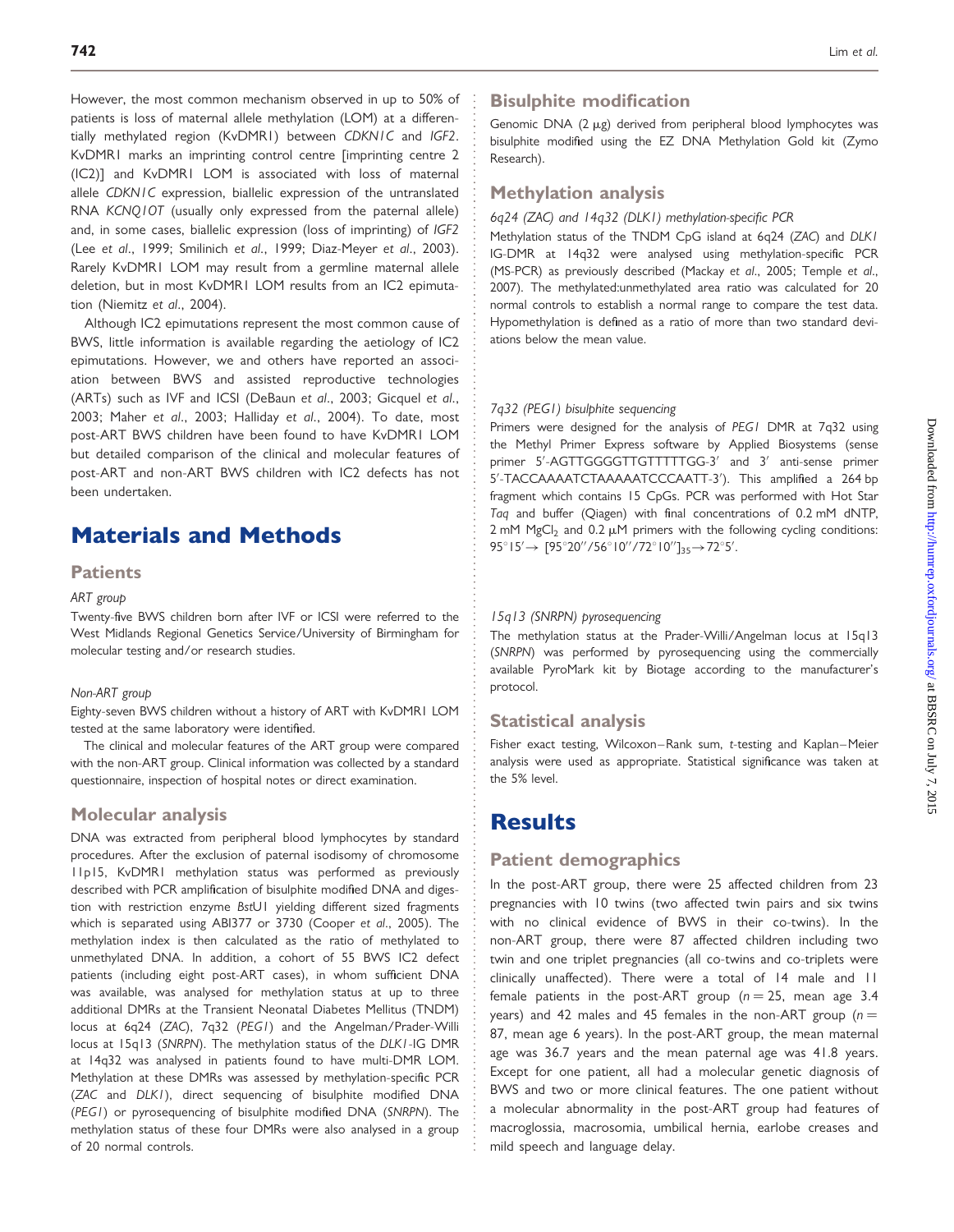However, the most common mechanism observed in up to 50% of patients is loss of maternal allele methylation (LOM) at a differentially methylated region (KvDMR1) between CDKN1C and IGF2. KvDMR1 marks an imprinting control centre [imprinting centre 2 (IC2)] and KvDMR1 LOM is associated with loss of maternal allele CDKN1C expression, biallelic expression of the untranslated RNA KCNQ1OT (usually only expressed from the paternal allele) and, in some cases, biallelic expression (loss of imprinting) of IGF2 (Lee et al., 1999; Smilinich et al., 1999; Diaz-Meyer et al., 2003). Rarely KvDMR1 LOM may result from a germline maternal allele deletion, but in most KvDMR1 LOM results from an IC2 epimutation (Niemitz et al., 2004).

Although IC2 epimutations represent the most common cause of BWS, little information is available regarding the aetiology of IC2 epimutations. However, we and others have reported an association between BWS and assisted reproductive technologies (ARTs) such as IVF and ICSI (DeBaun et al., 2003; Gicquel et al., 2003; Maher et al., 2003; Halliday et al., 2004). To date, most post-ART BWS children have been found to have KvDMR1 LOM but detailed comparison of the clinical and molecular features of post-ART and non-ART BWS children with IC2 defects has not been undertaken.

# Materials and Methods

#### **Patients**

#### ART group

Twenty-five BWS children born after IVF or ICSI were referred to the West Midlands Regional Genetics Service/University of Birmingham for molecular testing and/or research studies.

#### Non-ART group

Eighty-seven BWS children without a history of ART with KvDMR1 LOM tested at the same laboratory were identified.

The clinical and molecular features of the ART group were compared with the non-ART group. Clinical information was collected by a standard questionnaire, inspection of hospital notes or direct examination.

### Molecular analysis

DNA was extracted from peripheral blood lymphocytes by standard procedures. After the exclusion of paternal isodisomy of chromosome 11p15, KvDMR1 methylation status was performed as previously described with PCR amplification of bisulphite modified DNA and digestion with restriction enzyme BstU1 yielding different sized fragments which is separated using ABI377 or 3730 (Cooper et al., 2005). The methylation index is then calculated as the ratio of methylated to unmethylated DNA. In addition, a cohort of 55 BWS IC2 defect patients (including eight post-ART cases), in whom sufficient DNA was available, was analysed for methylation status at up to three additional DMRs at the Transient Neonatal Diabetes Mellitus (TNDM) locus at 6q24 (ZAC), 7q32 (PEG1) and the Angelman/Prader-Willi locus at 15q13 (SNRPN). The methylation status of the DLK1-IG DMR at 14q32 was analysed in patients found to have multi-DMR LOM. Methylation at these DMRs was assessed by methylation-specific PCR (ZAC and DLK1), direct sequencing of bisulphite modified DNA (PEG1) or pyrosequencing of bisulphite modified DNA (SNRPN). The methylation status of these four DMRs were also analysed in a group of 20 normal controls.

### Bisulphite modification

Genomic DNA  $(2 \mu g)$  derived from peripheral blood lymphocytes was bisulphite modified using the EZ DNA Methylation Gold kit (Zymo Research).

### Methylation analysis

#### 6q24 (ZAC) and 14q32 (DLK1) methylation-specific PCR

Methylation status of the TNDM CpG island at 6q24 (ZAC) and DLK1 IG-DMR at 14q32 were analysed using methylation-specific PCR (MS-PCR) as previously described (Mackay et al., 2005; Temple et al., 2007). The methylated:unmethylated area ratio was calculated for 20 normal controls to establish a normal range to compare the test data. Hypomethylation is defined as a ratio of more than two standard deviations below the mean value.

#### 7q32 (PEG1) bisulphite sequencing

Primers were designed for the analysis of PEG1 DMR at 7q32 using the Methyl Primer Express software by Applied Biosystems (sense primer 5'-AGTTGGGGTTGTTTTTGG-3' and 3' anti-sense primer 5'-TACCAAAATCTAAAAATCCCAATT-3'). This amplified a 264 bp fragment which contains 15 CpGs. PCR was performed with Hot Star Taq and buffer (Qiagen) with final concentrations of 0.2 mM dNTP,  $2 \text{ mM } MgCl<sub>2</sub>$  and 0.2  $\mu$ M primers with the following cycling conditions:  $95^{\circ}$  |  $5' \rightarrow [95^{\circ}20''/56^{\circ}10''/72^{\circ}10'']_{35} \rightarrow 72^{\circ}5'$ .

#### 15q13 (SNRPN) pyrosequencing

The methylation status at the Prader-Willi/Angelman locus at 15q13 (SNRPN) was performed by pyrosequencing using the commercially available PyroMark kit by Biotage according to the manufacturer's protocol.

#### Statistical analysis

Fisher exact testing, Wilcoxon-Rank sum, t-testing and Kaplan-Meier analysis were used as appropriate. Statistical significance was taken at the 5% level.

### **Results**

#### Patient demographics

In the post-ART group, there were 25 affected children from 23 pregnancies with 10 twins (two affected twin pairs and six twins with no clinical evidence of BWS in their co-twins). In the non-ART group, there were 87 affected children including two twin and one triplet pregnancies (all co-twins and co-triplets were clinically unaffected). There were a total of 14 male and 11 female patients in the post-ART group ( $n = 25$ , mean age 3.4 years) and 42 males and 45 females in the non-ART group ( $n =$ 87, mean age 6 years). In the post-ART group, the mean maternal age was 36.7 years and the mean paternal age was 41.8 years. Except for one patient, all had a molecular genetic diagnosis of BWS and two or more clinical features. The one patient without a molecular abnormality in the post-ART group had features of macroglossia, macrosomia, umbilical hernia, earlobe creases and mild speech and language delay.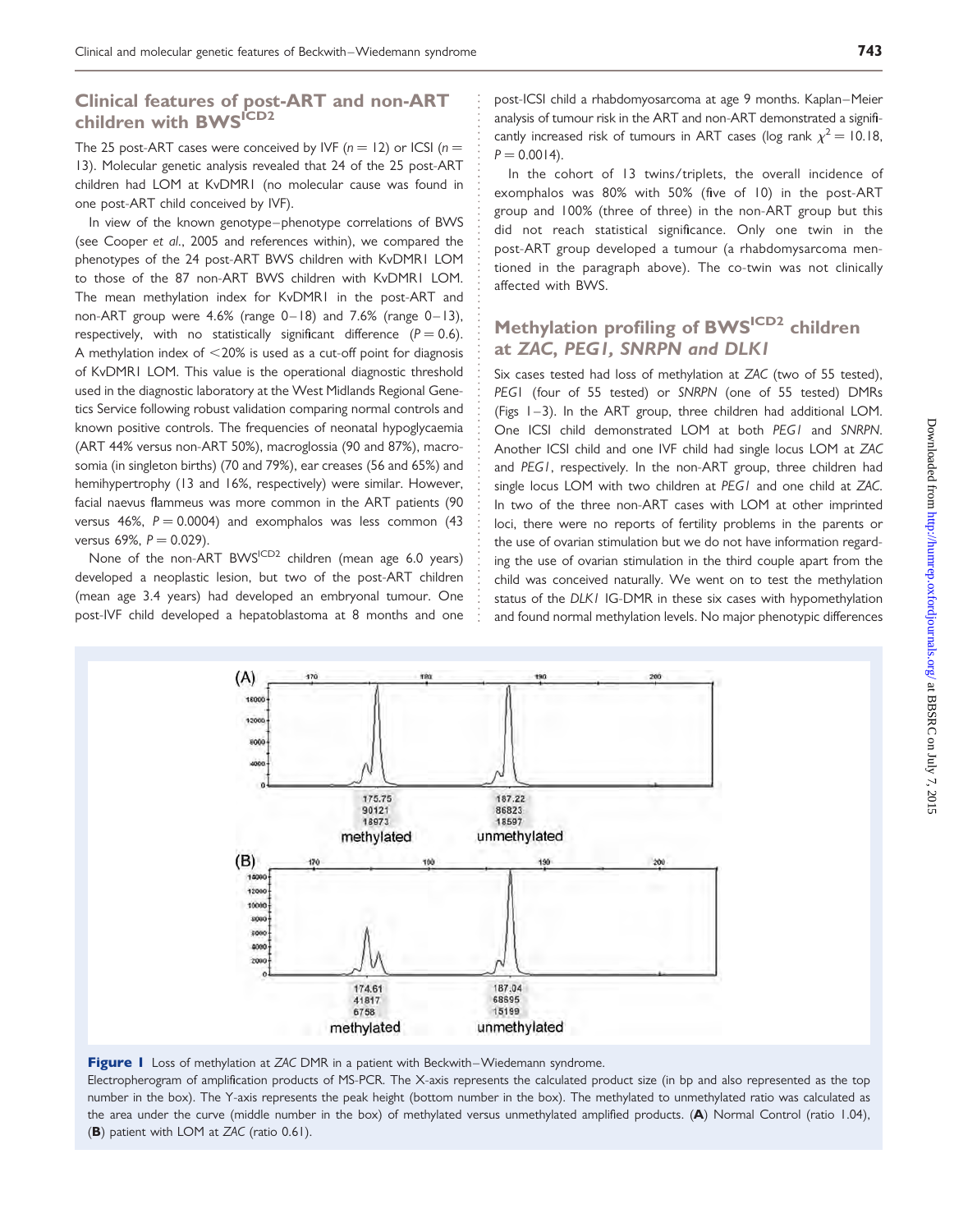### Clinical features of post-ART and non-ART children with BWS<sup>ICD2</sup>

The 25 post-ART cases were conceived by IVF ( $n = 12$ ) or ICSI ( $n = 12$ ) 13). Molecular genetic analysis revealed that 24 of the 25 post-ART children had LOM at KvDMR1 (no molecular cause was found in one post-ART child conceived by IVF).

In view of the known genotype–phenotype correlations of BWS (see Cooper et al., 2005 and references within), we compared the phenotypes of the 24 post-ART BWS children with KvDMR1 LOM to those of the 87 non-ART BWS children with KvDMR1 LOM. The mean methylation index for KvDMR1 in the post-ART and non-ART group were 4.6% (range 0–18) and 7.6% (range 0–13), respectively, with no statistically significant difference ( $P = 0.6$ ). A methylation index of  $<$ 20% is used as a cut-off point for diagnosis of KvDMR1 LOM. This value is the operational diagnostic threshold used in the diagnostic laboratory at the West Midlands Regional Genetics Service following robust validation comparing normal controls and known positive controls. The frequencies of neonatal hypoglycaemia (ART 44% versus non-ART 50%), macroglossia (90 and 87%), macrosomia (in singleton births) (70 and 79%), ear creases (56 and 65%) and hemihypertrophy (13 and 16%, respectively) were similar. However, facial naevus flammeus was more common in the ART patients (90 versus 46%,  $P = 0.0004$ ) and exomphalos was less common (43) versus 69%,  $P = 0.029$ ).

None of the non-ART BWS<sup>ICD2</sup> children (mean age 6.0 years) developed a neoplastic lesion, but two of the post-ART children (mean age 3.4 years) had developed an embryonal tumour. One post-IVF child developed a hepatoblastoma at 8 months and one

post-ICSI child a rhabdomyosarcoma at age 9 months. Kaplan–Meier analysis of tumour risk in the ART and non-ART demonstrated a significantly increased risk of tumours in ART cases (log rank  $\chi^2 = 10.18$ ,  $P = 0.0014$ .

In the cohort of 13 twins/triplets, the overall incidence of exomphalos was 80% with 50% (five of 10) in the post-ART group and 100% (three of three) in the non-ART group but this did not reach statistical significance. Only one twin in the post-ART group developed a tumour (a rhabdomysarcoma mentioned in the paragraph above). The co-twin was not clinically affected with BWS.

### Methylation profiling of BWS<sup>ICD2</sup> children at ZAC, PEG1, SNRPN and DLK1

Six cases tested had loss of methylation at ZAC (two of 55 tested), PEG1 (four of 55 tested) or SNRPN (one of 55 tested) DMRs (Figs 1–3). In the ART group, three children had additional LOM. One ICSI child demonstrated LOM at both PEG1 and SNRPN. Another ICSI child and one IVF child had single locus LOM at ZAC and PEG1, respectively. In the non-ART group, three children had single locus LOM with two children at PEG1 and one child at ZAC. In two of the three non-ART cases with LOM at other imprinted loci, there were no reports of fertility problems in the parents or the use of ovarian stimulation but we do not have information regarding the use of ovarian stimulation in the third couple apart from the child was conceived naturally. We went on to test the methylation status of the DLK1 IG-DMR in these six cases with hypomethylation and found normal methylation levels. No major phenotypic differences



Figure 1 Loss of methylation at ZAC DMR in a patient with Beckwith–Wiedemann syndrome.

Electropherogram of amplification products of MS-PCR. The X-axis represents the calculated product size (in bp and also represented as the top number in the box). The Y-axis represents the peak height (bottom number in the box). The methylated to unmethylated ratio was calculated as the area under the curve (middle number in the box) of methylated versus unmethylated amplified products. (A) Normal Control (ratio 1.04), (B) patient with LOM at ZAC (ratio 0.61).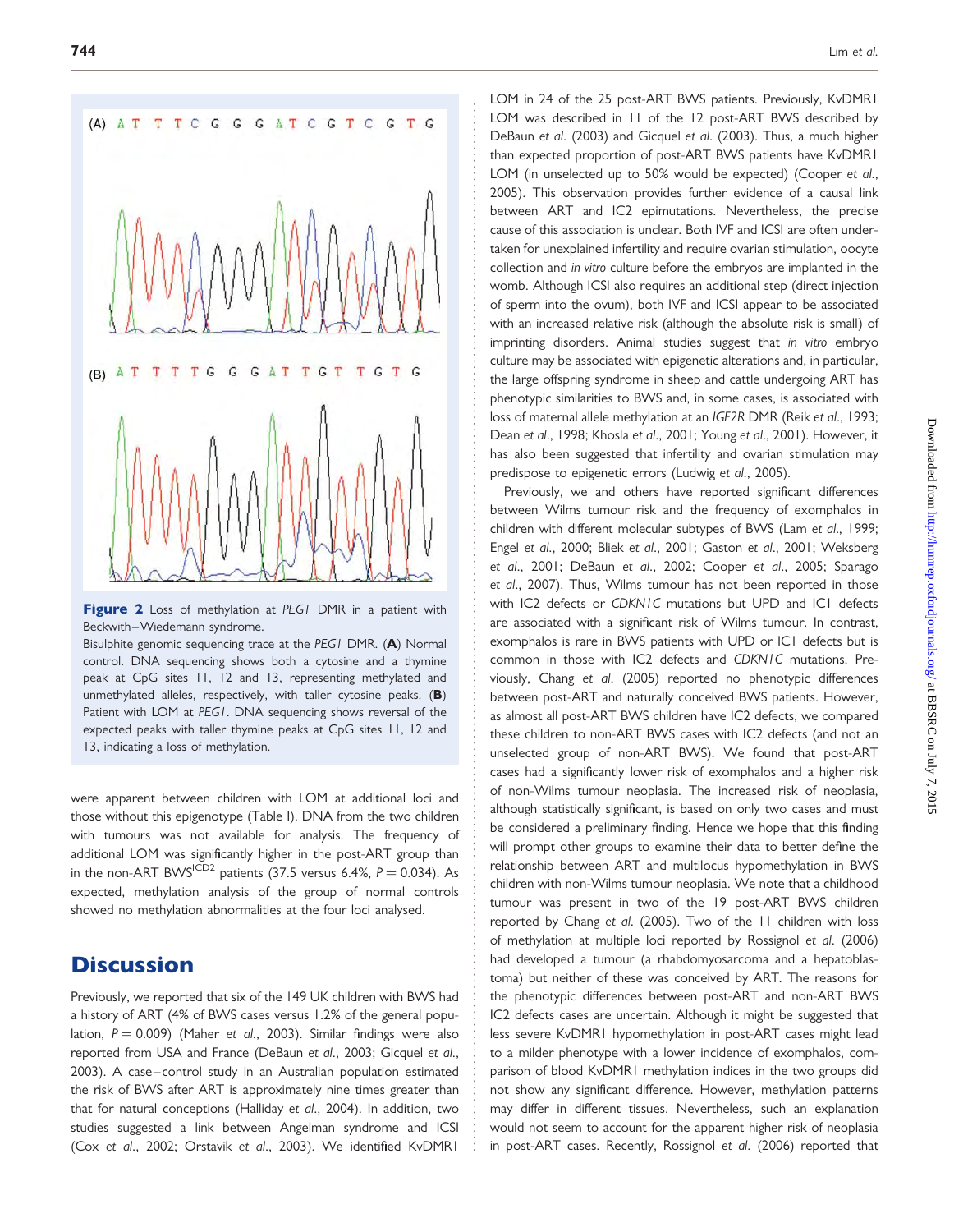

Figure 2 Loss of methylation at PEG1 DMR in a patient with Beckwith –Wiedemann syndrome.

Bisulphite genomic sequencing trace at the PEG1 DMR. (A) Normal control. DNA sequencing shows both a cytosine and a thymine peak at CpG sites 11, 12 and 13, representing methylated and unmethylated alleles, respectively, with taller cytosine peaks.  $(B)$ Patient with LOM at PEG1. DNA sequencing shows reversal of the expected peaks with taller thymine peaks at CpG sites 11, 12 and 13, indicating a loss of methylation.

were apparent between children with LOM at additional loci and those without this epigenotype (Table I). DNA from the two children with tumours was not available for analysis. The frequency of additional LOM was significantly higher in the post-ART group than in the non-ART BWS<sup>ICD2</sup> patients (37.5 versus 6.4%,  $P = 0.034$ ). As expected, methylation analysis of the group of normal controls showed no methylation abnormalities at the four loci analysed.

### **Discussion**

Previously, we reported that six of the 149 UK children with BWS had a history of ART (4% of BWS cases versus 1.2% of the general population,  $P = 0.009$ ) (Maher et al., 2003). Similar findings were also reported from USA and France (DeBaun et al., 2003; Gicquel et al., 2003). A case-control study in an Australian population estimated the risk of BWS after ART is approximately nine times greater than that for natural conceptions (Halliday et al., 2004). In addition, two studies suggested a link between Angelman syndrome and ICSI (Cox et al., 2002; Orstavik et al., 2003). We identified KvDMR1

LOM in 24 of the 25 post-ART BWS patients. Previously, KvDMR1 LOM was described in 11 of the 12 post-ART BWS described by DeBaun et al. (2003) and Gicquel et al. (2003). Thus, a much higher than expected proportion of post-ART BWS patients have KvDMR1 LOM (in unselected up to 50% would be expected) (Cooper et al., 2005). This observation provides further evidence of a causal link between ART and IC2 epimutations. Nevertheless, the precise cause of this association is unclear. Both IVF and ICSI are often undertaken for unexplained infertility and require ovarian stimulation, oocyte collection and in vitro culture before the embryos are implanted in the womb. Although ICSI also requires an additional step (direct injection of sperm into the ovum), both IVF and ICSI appear to be associated with an increased relative risk (although the absolute risk is small) of imprinting disorders. Animal studies suggest that in vitro embryo culture may be associated with epigenetic alterations and, in particular, the large offspring syndrome in sheep and cattle undergoing ART has phenotypic similarities to BWS and, in some cases, is associated with loss of maternal allele methylation at an IGF2R DMR (Reik et al., 1993; Dean et al., 1998; Khosla et al., 2001; Young et al., 2001). However, it has also been suggested that infertility and ovarian stimulation may predispose to epigenetic errors (Ludwig et al., 2005).

Previously, we and others have reported significant differences between Wilms tumour risk and the frequency of exomphalos in children with different molecular subtypes of BWS (Lam et al., 1999; Engel et al., 2000; Bliek et al., 2001; Gaston et al., 2001; Weksberg et al., 2001; DeBaun et al., 2002; Cooper et al., 2005; Sparago et al., 2007). Thus, Wilms tumour has not been reported in those with IC2 defects or CDKN1C mutations but UPD and IC1 defects are associated with a significant risk of Wilms tumour. In contrast, exomphalos is rare in BWS patients with UPD or IC1 defects but is common in those with IC2 defects and CDKN1C mutations. Previously, Chang et al. (2005) reported no phenotypic differences between post-ART and naturally conceived BWS patients. However, as almost all post-ART BWS children have IC2 defects, we compared these children to non-ART BWS cases with IC2 defects (and not an unselected group of non-ART BWS). We found that post-ART cases had a significantly lower risk of exomphalos and a higher risk of non-Wilms tumour neoplasia. The increased risk of neoplasia, although statistically significant, is based on only two cases and must be considered a preliminary finding. Hence we hope that this finding will prompt other groups to examine their data to better define the relationship between ART and multilocus hypomethylation in BWS children with non-Wilms tumour neoplasia. We note that a childhood tumour was present in two of the 19 post-ART BWS children reported by Chang et al. (2005). Two of the 11 children with loss of methylation at multiple loci reported by Rossignol et al. (2006) had developed a tumour (a rhabdomyosarcoma and a hepatoblastoma) but neither of these was conceived by ART. The reasons for the phenotypic differences between post-ART and non-ART BWS IC2 defects cases are uncertain. Although it might be suggested that less severe KvDMR1 hypomethylation in post-ART cases might lead to a milder phenotype with a lower incidence of exomphalos, comparison of blood KvDMR1 methylation indices in the two groups did not show any significant difference. However, methylation patterns may differ in different tissues. Nevertheless, such an explanation would not seem to account for the apparent higher risk of neoplasia in post-ART cases. Recently, Rossignol et al. (2006) reported that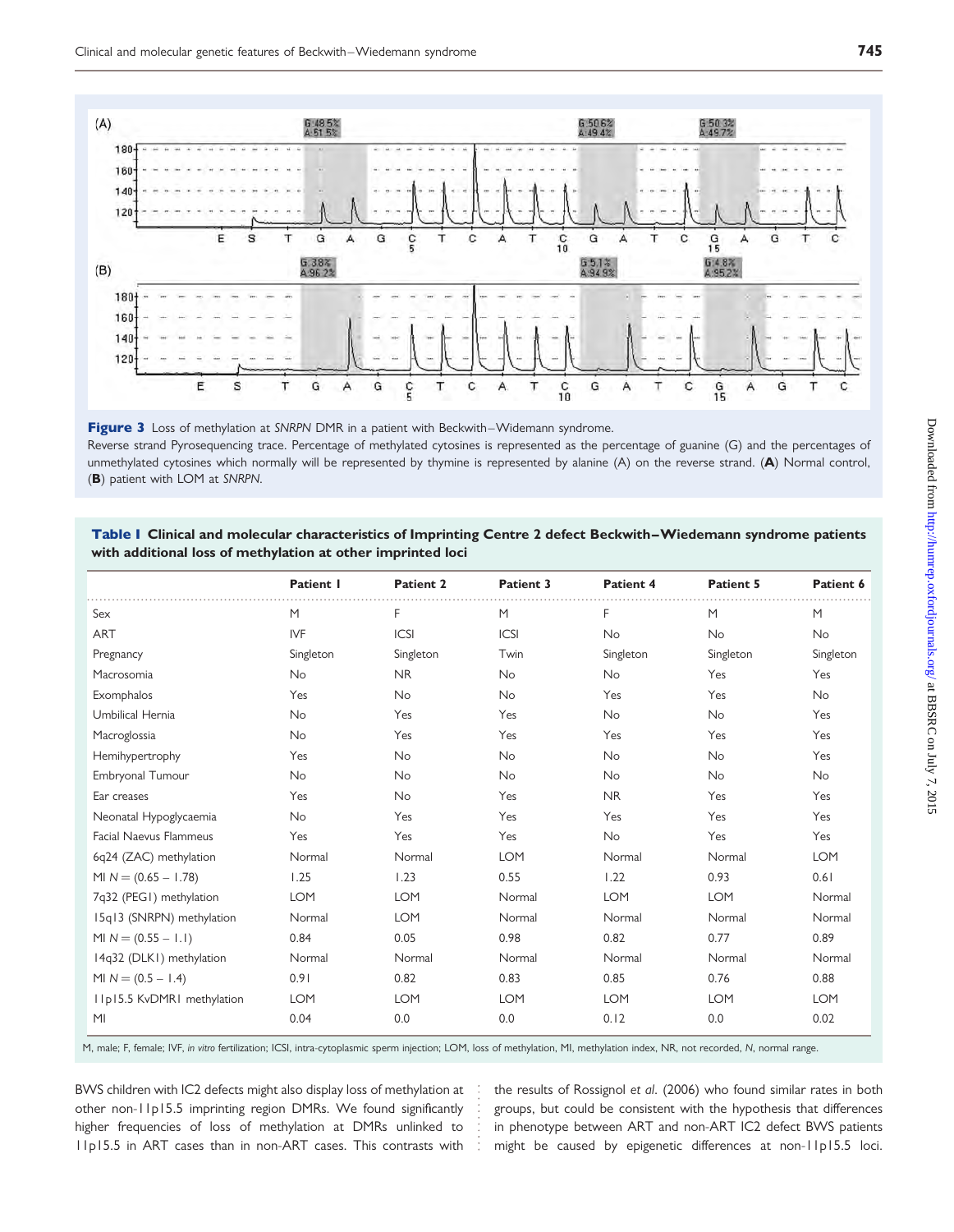

Figure 3 Loss of methylation at SNRPN DMR in a patient with Beckwith–Widemann syndrome. Reverse strand Pyrosequencing trace. Percentage of methylated cytosines is represented as the percentage of guanine (G) and the percentages of unmethylated cytosines which normally will be represented by thymine is represented by alanine (A) on the reverse strand. (A) Normal control, (B) patient with LOM at SNRPN.

#### Table I Clinical and molecular characteristics of Imprinting Centre 2 defect Beckwith–Wiedemann syndrome patients with additional loss of methylation at other imprinted loci

|                               | Patient I  | <b>Patient 2</b> | Patient 3  | Patient 4  | Patient 5  | Patient 6  |
|-------------------------------|------------|------------------|------------|------------|------------|------------|
| Sex                           | M          | F                | M          | F          | M          | M          |
| <b>ART</b>                    | <b>IVF</b> | ICSI             | ICSI       | <b>No</b>  | <b>No</b>  | <b>No</b>  |
| Pregnancy                     | Singleton  | Singleton        | Twin       | Singleton  | Singleton  | Singleton  |
| Macrosomia                    | <b>No</b>  | <b>NR</b>        | <b>No</b>  | No         | Yes        | Yes        |
| Exomphalos                    | Yes        | <b>No</b>        | <b>No</b>  | Yes        | Yes        | No         |
| Umbilical Hernia              | <b>No</b>  | Yes              | Yes        | <b>No</b>  | <b>No</b>  | Yes        |
| Macroglossia                  | <b>No</b>  | Yes              | Yes        | Yes        | Yes        | Yes        |
| Hemihypertrophy               | Yes        | <b>No</b>        | <b>No</b>  | <b>No</b>  | <b>No</b>  | Yes        |
| Embryonal Tumour              | <b>No</b>  | <b>No</b>        | <b>No</b>  | <b>No</b>  | <b>No</b>  | <b>No</b>  |
| Ear creases                   | Yes        | <b>No</b>        | Yes        | <b>NR</b>  | Yes        | Yes        |
| Neonatal Hypoglycaemia        | No         | Yes              | Yes        | Yes        | Yes        | Yes        |
| <b>Facial Naevus Flammeus</b> | Yes        | Yes              | Yes        | <b>No</b>  | Yes        | Yes        |
| 6q24 (ZAC) methylation        | Normal     | Normal           | <b>LOM</b> | Normal     | Normal     | <b>LOM</b> |
| MI $N = (0.65 - 1.78)$        | 1.25       | 1.23             | 0.55       | 1.22       | 0.93       | 0.61       |
| 7q32 (PEGI) methylation       | <b>LOM</b> | <b>LOM</b>       | Normal     | <b>LOM</b> | <b>LOM</b> | Normal     |
| 15q13 (SNRPN) methylation     | Normal     | <b>LOM</b>       | Normal     | Normal     | Normal     | Normal     |
| MI $N = (0.55 - 1.1)$         | 0.84       | 0.05             | 0.98       | 0.82       | 0.77       | 0.89       |
| 14q32 (DLK1) methylation      | Normal     | Normal           | Normal     | Normal     | Normal     | Normal     |
| MI $N = (0.5 - 1.4)$          | 0.91       | 0.82             | 0.83       | 0.85       | 0.76       | 0.88       |
| IIp15.5 KvDMRI methylation    | <b>LOM</b> | <b>LOM</b>       | <b>LOM</b> | <b>LOM</b> | <b>LOM</b> | <b>LOM</b> |
| M <sub>l</sub>                | 0.04       | 0.0              | 0.0        | 0.12       | 0.0        | 0.02       |

M, male; F, female; IVF, in vitro fertilization; ICSI, intra-cytoplasmic sperm injection; LOM, loss of methylation, MI, methylation index, NR, not recorded, N, normal range.

BWS children with IC2 defects might also display loss of methylation at other non-11p15.5 imprinting region DMRs. We found significantly higher frequencies of loss of methylation at DMRs unlinked to 11p15.5 in ART cases than in non-ART cases. This contrasts with

the results of Rossignol et al. (2006) who found similar rates in both groups, but could be consistent with the hypothesis that differences in phenotype between ART and non-ART IC2 defect BWS patients might be caused by epigenetic differences at non-11p15.5 loci.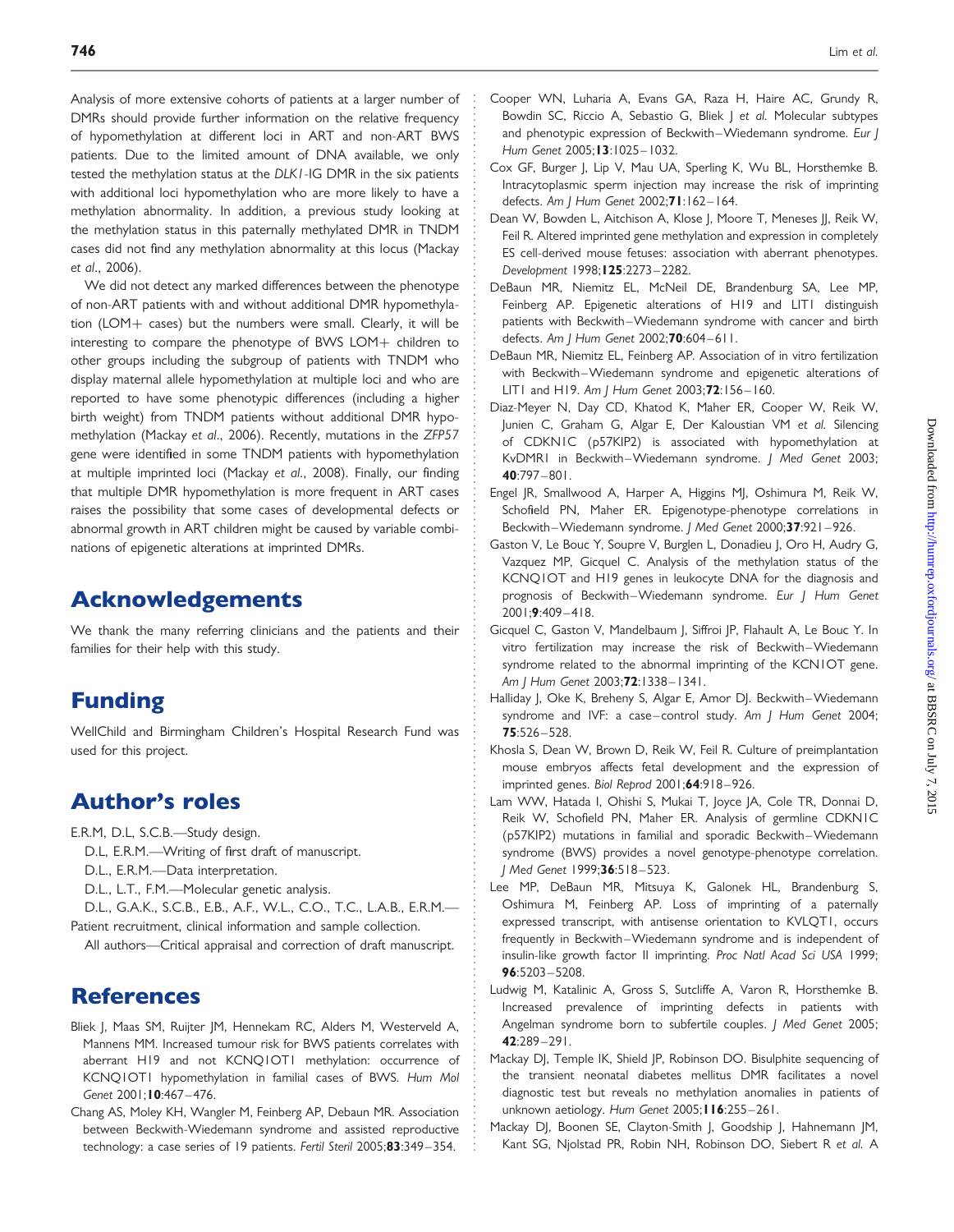Analysis of more extensive cohorts of patients at a larger number of DMRs should provide further information on the relative frequency of hypomethylation at different loci in ART and non-ART BWS patients. Due to the limited amount of DNA available, we only tested the methylation status at the DLK1-IG DMR in the six patients with additional loci hypomethylation who are more likely to have a methylation abnormality. In addition, a previous study looking at the methylation status in this paternally methylated DMR in TNDM cases did not find any methylation abnormality at this locus (Mackay et al., 2006).

We did not detect any marked differences between the phenotype of non-ART patients with and without additional DMR hypomethylation (LOM $+$  cases) but the numbers were small. Clearly, it will be interesting to compare the phenotype of BWS LOM $+$  children to other groups including the subgroup of patients with TNDM who display maternal allele hypomethylation at multiple loci and who are reported to have some phenotypic differences (including a higher birth weight) from TNDM patients without additional DMR hypomethylation (Mackay et al., 2006). Recently, mutations in the ZFP57 gene were identified in some TNDM patients with hypomethylation at multiple imprinted loci (Mackay et al., 2008). Finally, our finding that multiple DMR hypomethylation is more frequent in ART cases raises the possibility that some cases of developmental defects or abnormal growth in ART children might be caused by variable combinations of epigenetic alterations at imprinted DMRs.

## Acknowledgements

We thank the many referring clinicians and the patients and their families for their help with this study.

# Funding

WellChild and Birmingham Children's Hospital Research Fund was used for this project.

# Author's roles

E.R.M, D.L, S.C.B.—Study design.

- D.L, E.R.M.—Writing of first draft of manuscript.
- D.L., E.R.M.—Data interpretation.
- D.L., L.T., F.M.—Molecular genetic analysis.
- D.L., G.A.K., S.C.B., E.B., A.F., W.L., C.O., T.C., L.A.B., E.R.M.— Patient recruitment, clinical information and sample collection.
- All authors—Critical appraisal and correction of draft manuscript.

## **References**

- Bliek J, Maas SM, Ruijter JM, Hennekam RC, Alders M, Westerveld A, Mannens MM. Increased tumour risk for BWS patients correlates with aberrant H19 and not KCNQ1OT1 methylation: occurrence of KCNQ1OT1 hypomethylation in familial cases of BWS. Hum Mol Genet 2001;10:467-476.
- Chang AS, Moley KH, Wangler M, Feinberg AP, Debaun MR. Association between Beckwith-Wiedemann syndrome and assisted reproductive technology: a case series of 19 patients. Fertil Steril 2005;83:349-354.
- Cooper WN, Luharia A, Evans GA, Raza H, Haire AC, Grundy R, Bowdin SC, Riccio A, Sebastio G, Bliek | et al. Molecular subtypes and phenotypic expression of Beckwith-Wiedemann syndrome. Eur J Hum Genet 2005;13:1025– 1032.
- Cox GF, Burger J, Lip V, Mau UA, Sperling K, Wu BL, Horsthemke B. Intracytoplasmic sperm injection may increase the risk of imprinting defects. Am I Hum Genet 2002:71:162-164.
- Dean W, Bowden L, Aitchison A, Klose J, Moore T, Meneses JJ, Reik W, Feil R. Altered imprinted gene methylation and expression in completely ES cell-derived mouse fetuses: association with aberrant phenotypes. Development 1998;125:2273 – 2282.
- DeBaun MR, Niemitz EL, McNeil DE, Brandenburg SA, Lee MP, Feinberg AP. Epigenetic alterations of H19 and LIT1 distinguish patients with Beckwith-Wiedemann syndrome with cancer and birth defects. Am | Hum Genet 2002;70:604-611.
- DeBaun MR, Niemitz EL, Feinberg AP. Association of in vitro fertilization with Beckwith-Wiedemann syndrome and epigenetic alterations of LIT1 and H19. Am | Hum Genet 2003;72:156-160.
- Diaz-Meyer N, Day CD, Khatod K, Maher ER, Cooper W, Reik W, Junien C, Graham G, Algar E, Der Kaloustian VM et al. Silencing of CDKN1C (p57KIP2) is associated with hypomethylation at KvDMR1 in Beckwith-Wiedemann syndrome. J Med Genet 2003; 40:797 – 801.
- Engel JR, Smallwood A, Harper A, Higgins MJ, Oshimura M, Reik W, Schofield PN, Maher ER. Epigenotype-phenotype correlations in Beckwith-Wiedemann syndrome. J Med Genet 2000;37:921-926.
- Gaston V, Le Bouc Y, Soupre V, Burglen L, Donadieu J, Oro H, Audry G, Vazquez MP, Gicquel C. Analysis of the methylation status of the KCNQ1OT and H19 genes in leukocyte DNA for the diagnosis and prognosis of Beckwith-Wiedemann syndrome. Eur J Hum Genet 2001;9:409 – 418.
- Gicquel C, Gaston V, Mandelbaum J, Siffroi JP, Flahault A, Le Bouc Y. In vitro fertilization may increase the risk of Beckwith –Wiedemann syndrome related to the abnormal imprinting of the KCN1OT gene. Am | Hum Genet 2003;72:1338-1341.
- Halliday J, Oke K, Breheny S, Algar E, Amor DJ. Beckwith-Wiedemann syndrome and IVF: a case-control study. Am J Hum Genet 2004; 75:526 – 528.
- Khosla S, Dean W, Brown D, Reik W, Feil R. Culture of preimplantation mouse embryos affects fetal development and the expression of imprinted genes. Biol Reprod 2001;64:918-926.
- Lam WW, Hatada I, Ohishi S, Mukai T, Joyce JA, Cole TR, Donnai D, Reik W, Schofield PN, Maher ER. Analysis of germline CDKN1C (p57KIP2) mutations in familial and sporadic Beckwith –Wiedemann syndrome (BWS) provides a novel genotype-phenotype correlation. I Med Genet 1999:36:518-523.
- Lee MP, DeBaun MR, Mitsuya K, Galonek HL, Brandenburg S, Oshimura M, Feinberg AP. Loss of imprinting of a paternally expressed transcript, with antisense orientation to KVLQT1, occurs frequently in Beckwith –Wiedemann syndrome and is independent of insulin-like growth factor II imprinting. Proc Natl Acad Sci USA 1999;  $96:5203 - 5208$
- Ludwig M, Katalinic A, Gross S, Sutcliffe A, Varon R, Horsthemke B. Increased prevalence of imprinting defects in patients with Angelman syndrome born to subfertile couples. J Med Genet 2005; 42:289 – 291.
- Mackay DJ, Temple IK, Shield JP, Robinson DO. Bisulphite sequencing of the transient neonatal diabetes mellitus DMR facilitates a novel diagnostic test but reveals no methylation anomalies in patients of unknown aetiology. Hum Genet 2005; I 16:255-261.
- Mackay DJ, Boonen SE, Clayton-Smith J, Goodship J, Hahnemann JM, Kant SG, Njolstad PR, Robin NH, Robinson DO, Siebert R et al. A